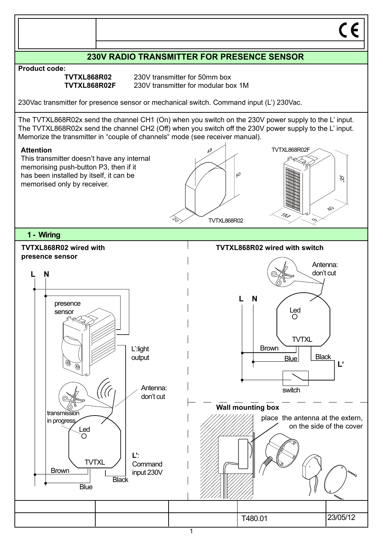